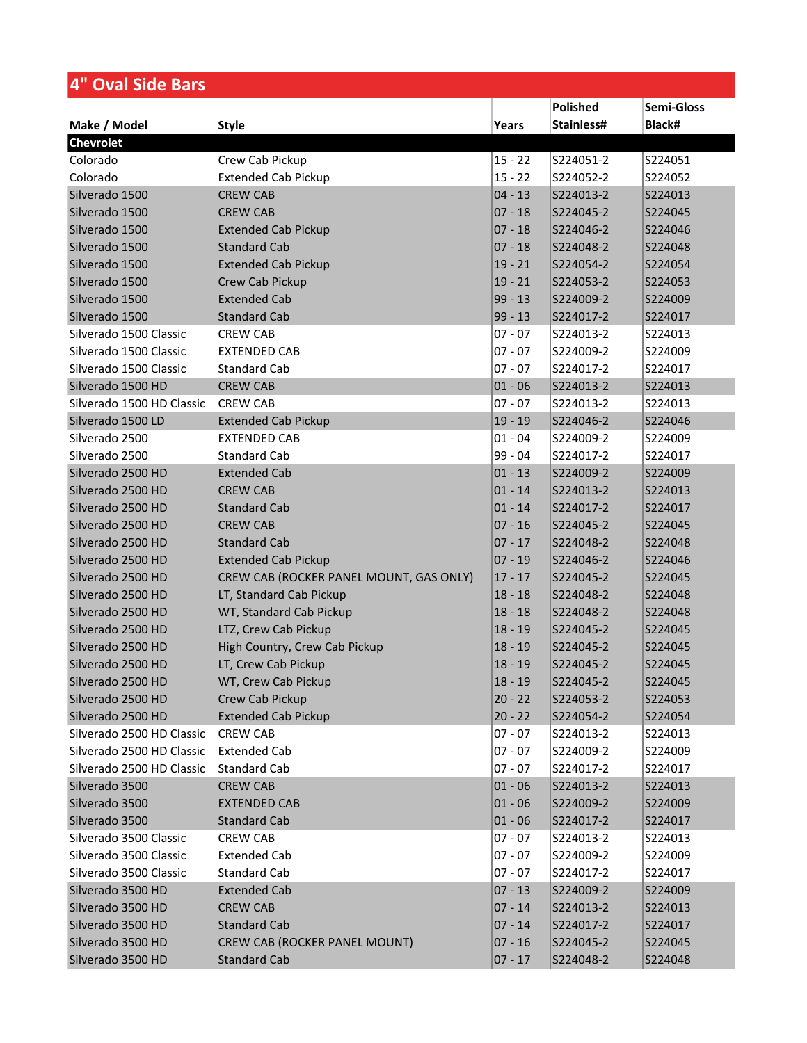| 4" Oval Side Bars         |                                         |           |            |            |
|---------------------------|-----------------------------------------|-----------|------------|------------|
|                           |                                         |           | Polished   | Semi-Gloss |
| Make / Model              | <b>Style</b>                            | Years     | Stainless# | Black#     |
| <b>Chevrolet</b>          |                                         |           |            |            |
| Colorado                  | Crew Cab Pickup                         | $15 - 22$ | S224051-2  | S224051    |
| Colorado                  | <b>Extended Cab Pickup</b>              | $15 - 22$ | S224052-2  | S224052    |
| Silverado 1500            | <b>CREW CAB</b>                         | $04 - 13$ | S224013-2  | S224013    |
| Silverado 1500            | <b>CREW CAB</b>                         | $07 - 18$ | S224045-2  | S224045    |
| Silverado 1500            | <b>Extended Cab Pickup</b>              | $07 - 18$ | S224046-2  | S224046    |
| Silverado 1500            | <b>Standard Cab</b>                     | $07 - 18$ | S224048-2  | S224048    |
| Silverado 1500            | <b>Extended Cab Pickup</b>              | $19 - 21$ | S224054-2  | S224054    |
| Silverado 1500            | Crew Cab Pickup                         | $19 - 21$ | S224053-2  | S224053    |
| Silverado 1500            | <b>Extended Cab</b>                     | $99 - 13$ | S224009-2  | S224009    |
| Silverado 1500            | <b>Standard Cab</b>                     | $99 - 13$ | S224017-2  | S224017    |
| Silverado 1500 Classic    | <b>CREW CAB</b>                         | $07 - 07$ | S224013-2  | S224013    |
| Silverado 1500 Classic    | <b>EXTENDED CAB</b>                     | $07 - 07$ | S224009-2  | S224009    |
| Silverado 1500 Classic    | <b>Standard Cab</b>                     | $07 - 07$ | S224017-2  | S224017    |
| Silverado 1500 HD         | <b>CREW CAB</b>                         | $01 - 06$ | S224013-2  | S224013    |
| Silverado 1500 HD Classic | <b>CREW CAB</b>                         | $07 - 07$ | S224013-2  | S224013    |
| Silverado 1500 LD         | <b>Extended Cab Pickup</b>              | $19 - 19$ | S224046-2  | S224046    |
| Silverado 2500            | <b>EXTENDED CAB</b>                     | $01 - 04$ | S224009-2  | S224009    |
| Silverado 2500            | <b>Standard Cab</b>                     | $99 - 04$ | S224017-2  | S224017    |
| Silverado 2500 HD         | <b>Extended Cab</b>                     | $01 - 13$ | S224009-2  | S224009    |
| Silverado 2500 HD         | <b>CREW CAB</b>                         | $01 - 14$ | S224013-2  | S224013    |
| Silverado 2500 HD         | <b>Standard Cab</b>                     | $01 - 14$ | S224017-2  | S224017    |
| Silverado 2500 HD         | <b>CREW CAB</b>                         | $07 - 16$ | S224045-2  | S224045    |
| Silverado 2500 HD         | <b>Standard Cab</b>                     | $07 - 17$ | S224048-2  | S224048    |
| Silverado 2500 HD         | <b>Extended Cab Pickup</b>              | $07 - 19$ | S224046-2  | S224046    |
| Silverado 2500 HD         | CREW CAB (ROCKER PANEL MOUNT, GAS ONLY) | $17 - 17$ | S224045-2  | S224045    |
| Silverado 2500 HD         | LT, Standard Cab Pickup                 | $18 - 18$ | S224048-2  | S224048    |
| Silverado 2500 HD         | WT, Standard Cab Pickup                 | $18 - 18$ | S224048-2  | S224048    |
| Silverado 2500 HD         | LTZ, Crew Cab Pickup                    | $18 - 19$ | S224045-2  | S224045    |
| Silverado 2500 HD         | High Country, Crew Cab Pickup           | $18 - 19$ | S224045-2  | S224045    |
| Silverado 2500 HD         | LT, Crew Cab Pickup                     | $18 - 19$ | S224045-2  | S224045    |
| Silverado 2500 HD         | WT, Crew Cab Pickup                     | $18 - 19$ | S224045-2  | S224045    |
| Silverado 2500 HD         | Crew Cab Pickup                         | $20 - 22$ | S224053-2  | S224053    |
| Silverado 2500 HD         | <b>Extended Cab Pickup</b>              | $20 - 22$ | S224054-2  | S224054    |
| Silverado 2500 HD Classic | <b>CREW CAB</b>                         | $07 - 07$ | S224013-2  | S224013    |
| Silverado 2500 HD Classic | <b>Extended Cab</b>                     | $07 - 07$ | S224009-2  | S224009    |
| Silverado 2500 HD Classic | Standard Cab                            | $07 - 07$ | S224017-2  | S224017    |
| Silverado 3500            | <b>CREW CAB</b>                         | $01 - 06$ | S224013-2  | S224013    |
| Silverado 3500            | <b>EXTENDED CAB</b>                     | $01 - 06$ | S224009-2  | S224009    |
| Silverado 3500            | <b>Standard Cab</b>                     | $01 - 06$ | S224017-2  | S224017    |
| Silverado 3500 Classic    | <b>CREW CAB</b>                         | $07 - 07$ | S224013-2  | S224013    |
| Silverado 3500 Classic    | <b>Extended Cab</b>                     | $07 - 07$ | S224009-2  | S224009    |
| Silverado 3500 Classic    | <b>Standard Cab</b>                     | $07 - 07$ | S224017-2  | S224017    |
| Silverado 3500 HD         | <b>Extended Cab</b>                     | $07 - 13$ | S224009-2  | S224009    |
| Silverado 3500 HD         | <b>CREW CAB</b>                         | $07 - 14$ | S224013-2  | S224013    |
| Silverado 3500 HD         | <b>Standard Cab</b>                     | $07 - 14$ | S224017-2  | S224017    |
| Silverado 3500 HD         | CREW CAB (ROCKER PANEL MOUNT)           | $07 - 16$ | S224045-2  | S224045    |
| Silverado 3500 HD         | <b>Standard Cab</b>                     | $07 - 17$ | S224048-2  | S224048    |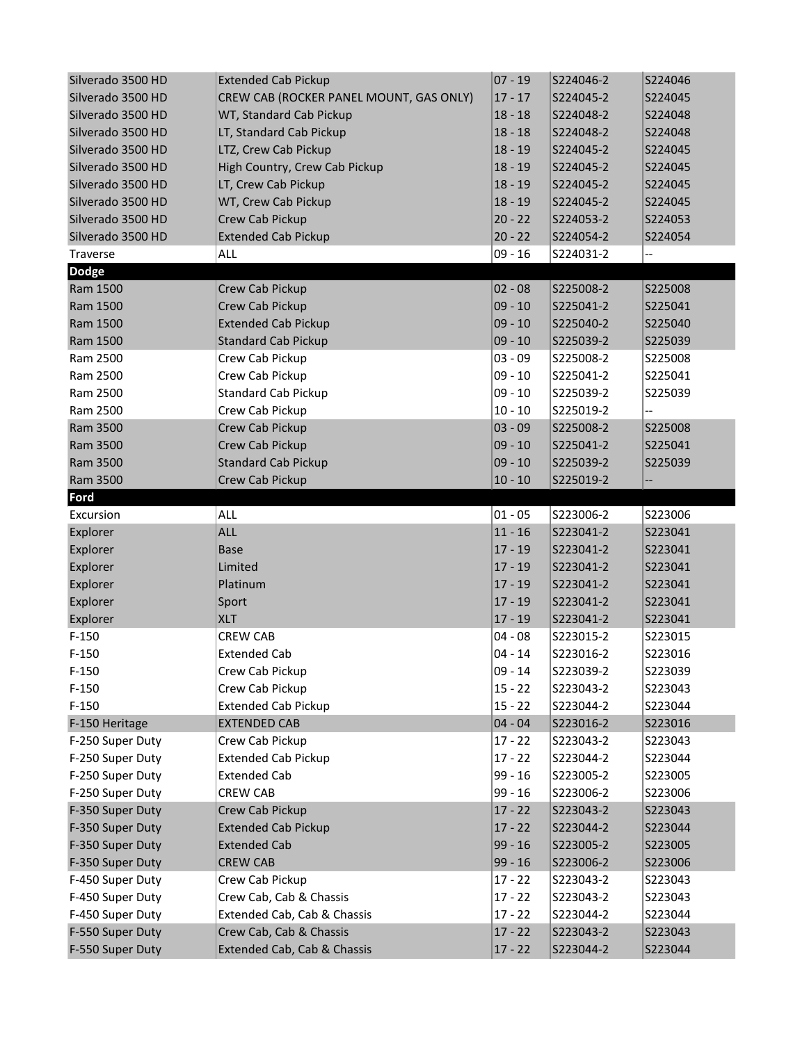| Silverado 3500 HD | <b>Extended Cab Pickup</b>              | $ 07 - 19$ | S224046-2 | S224046 |
|-------------------|-----------------------------------------|------------|-----------|---------|
| Silverado 3500 HD | CREW CAB (ROCKER PANEL MOUNT, GAS ONLY) | $17 - 17$  | S224045-2 | S224045 |
| Silverado 3500 HD | WT, Standard Cab Pickup                 | $18 - 18$  | S224048-2 | S224048 |
| Silverado 3500 HD | LT, Standard Cab Pickup                 | $18 - 18$  | S224048-2 | S224048 |
| Silverado 3500 HD | LTZ, Crew Cab Pickup                    | $18 - 19$  | S224045-2 | S224045 |
| Silverado 3500 HD | High Country, Crew Cab Pickup           | $18 - 19$  | S224045-2 | S224045 |
| Silverado 3500 HD | LT, Crew Cab Pickup                     | $18 - 19$  | S224045-2 | S224045 |
| Silverado 3500 HD | WT, Crew Cab Pickup                     | $18 - 19$  | S224045-2 | S224045 |
| Silverado 3500 HD | Crew Cab Pickup                         | $20 - 22$  | S224053-2 | S224053 |
| Silverado 3500 HD | <b>Extended Cab Pickup</b>              | $20 - 22$  | S224054-2 | S224054 |
| Traverse          | ALL                                     | $09 - 16$  | S224031-2 | --      |
| <b>Dodge</b>      |                                         |            |           |         |
| Ram 1500          | Crew Cab Pickup                         | $ 02 - 08$ | S225008-2 | S225008 |
| Ram 1500          | Crew Cab Pickup                         | $ 09 - 10$ | S225041-2 | S225041 |
| Ram 1500          | <b>Extended Cab Pickup</b>              | $09 - 10$  | S225040-2 | S225040 |
| Ram 1500          | <b>Standard Cab Pickup</b>              | $09 - 10$  | S225039-2 | S225039 |
| Ram 2500          | Crew Cab Pickup                         | $03 - 09$  | S225008-2 | S225008 |
| Ram 2500          | Crew Cab Pickup                         | $09 - 10$  | S225041-2 | S225041 |
| Ram 2500          | <b>Standard Cab Pickup</b>              | $09 - 10$  | S225039-2 | S225039 |
| Ram 2500          | Crew Cab Pickup                         | $10 - 10$  | S225019-2 | --      |
| Ram 3500          | Crew Cab Pickup                         | $03 - 09$  | S225008-2 | S225008 |
| Ram 3500          | Crew Cab Pickup                         | $09 - 10$  | S225041-2 | S225041 |
| Ram 3500          | <b>Standard Cab Pickup</b>              | $09 - 10$  | S225039-2 | S225039 |
| Ram 3500          | Crew Cab Pickup                         | $10 - 10$  | S225019-2 |         |
| Ford              |                                         |            |           |         |
| Excursion         | ALL                                     | $01 - 05$  | S223006-2 | S223006 |
| Explorer          | <b>ALL</b>                              | $11 - 16$  | S223041-2 | S223041 |
| Explorer          | <b>Base</b>                             | $17 - 19$  | S223041-2 | S223041 |
| Explorer          | Limited                                 | $17 - 19$  | S223041-2 | S223041 |
| Explorer          | Platinum                                | $17 - 19$  | S223041-2 | S223041 |
| Explorer          | Sport                                   | $17 - 19$  | S223041-2 | S223041 |
| Explorer          | <b>XLT</b>                              | $17 - 19$  | S223041-2 | S223041 |
| $F-150$           | <b>CREW CAB</b>                         | $04 - 08$  | S223015-2 | S223015 |
| $F-150$           | <b>Extended Cab</b>                     | $04 - 14$  | S223016-2 | S223016 |
| $F-150$           | Crew Cab Pickup                         | $09 - 14$  | S223039-2 | S223039 |
| $F-150$           | Crew Cab Pickup                         | $15 - 22$  | S223043-2 | S223043 |
| $F-150$           | <b>Extended Cab Pickup</b>              | $15 - 22$  | S223044-2 | S223044 |
| F-150 Heritage    | <b>EXTENDED CAB</b>                     | $04 - 04$  | S223016-2 | S223016 |
| F-250 Super Duty  | Crew Cab Pickup                         | $17 - 22$  | S223043-2 | S223043 |
| F-250 Super Duty  | <b>Extended Cab Pickup</b>              | $17 - 22$  | S223044-2 | S223044 |
| F-250 Super Duty  | <b>Extended Cab</b>                     | 99 - 16    | S223005-2 | S223005 |
| F-250 Super Duty  | <b>CREW CAB</b>                         | 99 - 16    | S223006-2 | S223006 |
| F-350 Super Duty  | Crew Cab Pickup                         | $17 - 22$  | S223043-2 | S223043 |
| F-350 Super Duty  | <b>Extended Cab Pickup</b>              | $17 - 22$  | S223044-2 | S223044 |
| F-350 Super Duty  | <b>Extended Cab</b>                     | 99 - 16    | S223005-2 | S223005 |
| F-350 Super Duty  | <b>CREW CAB</b>                         | 99 - 16    | S223006-2 | S223006 |
| F-450 Super Duty  | Crew Cab Pickup                         | $17 - 22$  | S223043-2 | S223043 |
| F-450 Super Duty  | Crew Cab, Cab & Chassis                 | $17 - 22$  | S223043-2 | S223043 |
| F-450 Super Duty  | Extended Cab, Cab & Chassis             | $17 - 22$  | S223044-2 | S223044 |
| F-550 Super Duty  | Crew Cab, Cab & Chassis                 | $17 - 22$  | S223043-2 | S223043 |
| F-550 Super Duty  | Extended Cab, Cab & Chassis             | $17 - 22$  | S223044-2 | S223044 |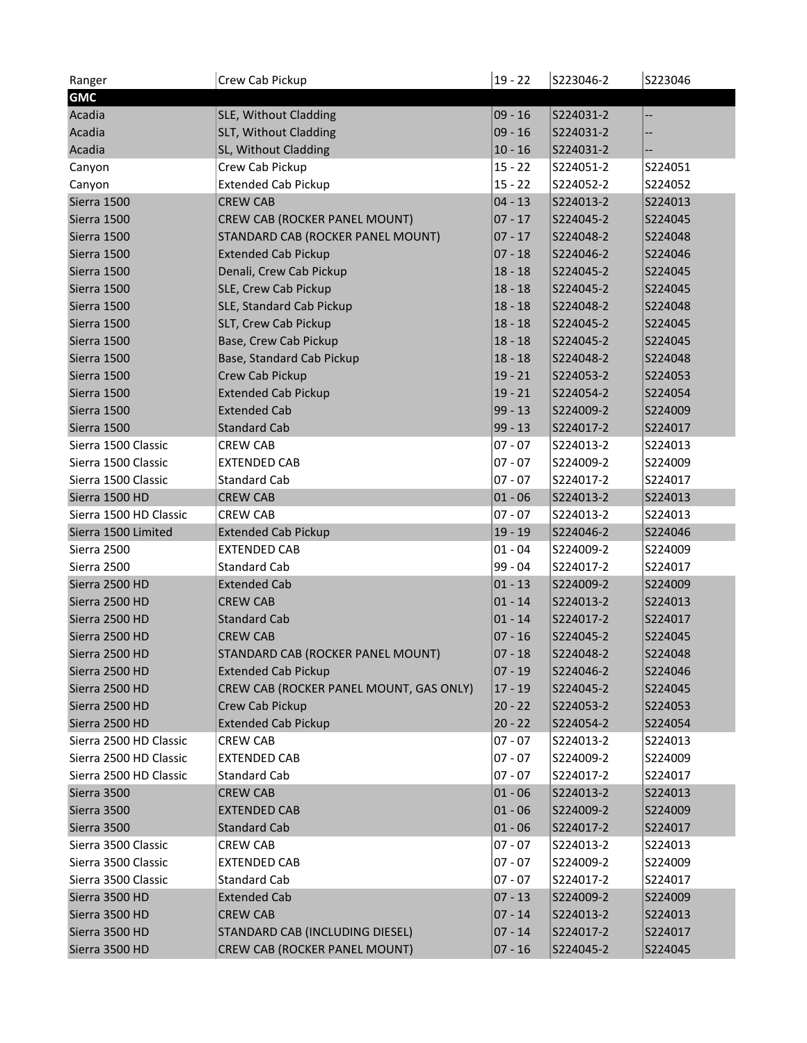| Ranger                             | Crew Cab Pickup                                   | $19 - 22$ | S223046-2 | S223046 |
|------------------------------------|---------------------------------------------------|-----------|-----------|---------|
| <b>GMC</b>                         |                                                   |           |           |         |
| Acadia                             | SLE, Without Cladding                             | $09 - 16$ | S224031-2 | --      |
| Acadia                             | SLT, Without Cladding                             | $09 - 16$ | S224031-2 | --      |
| Acadia                             | SL, Without Cladding                              | $10 - 16$ | S224031-2 |         |
| Canyon                             | Crew Cab Pickup                                   | $15 - 22$ | S224051-2 | S224051 |
| Canyon                             | <b>Extended Cab Pickup</b>                        | $15 - 22$ | S224052-2 | S224052 |
| Sierra 1500                        | <b>CREW CAB</b>                                   | $04 - 13$ | S224013-2 | S224013 |
| Sierra 1500                        | CREW CAB (ROCKER PANEL MOUNT)                     | $07 - 17$ | S224045-2 | S224045 |
| Sierra 1500                        | STANDARD CAB (ROCKER PANEL MOUNT)                 | $07 - 17$ | S224048-2 | S224048 |
| Sierra 1500                        | <b>Extended Cab Pickup</b>                        | $07 - 18$ | S224046-2 | S224046 |
| Sierra 1500                        | Denali, Crew Cab Pickup                           | $18 - 18$ | S224045-2 | S224045 |
| Sierra 1500                        | SLE, Crew Cab Pickup                              | $18 - 18$ | S224045-2 | S224045 |
| Sierra 1500                        | <b>SLE, Standard Cab Pickup</b>                   | $18 - 18$ | S224048-2 | S224048 |
| Sierra 1500                        | SLT, Crew Cab Pickup                              | $18 - 18$ | S224045-2 | S224045 |
| Sierra 1500                        | Base, Crew Cab Pickup                             | $18 - 18$ | S224045-2 | S224045 |
| Sierra 1500                        | Base, Standard Cab Pickup                         | $18 - 18$ | S224048-2 | S224048 |
| Sierra 1500                        | Crew Cab Pickup                                   | $19 - 21$ | S224053-2 | S224053 |
| Sierra 1500                        | <b>Extended Cab Pickup</b>                        | $19 - 21$ | S224054-2 | S224054 |
| Sierra 1500                        | <b>Extended Cab</b>                               | $99 - 13$ | S224009-2 | S224009 |
| Sierra 1500                        | <b>Standard Cab</b>                               | $99 - 13$ | S224017-2 | S224017 |
| Sierra 1500 Classic                | <b>CREW CAB</b>                                   | $07 - 07$ | S224013-2 | S224013 |
| Sierra 1500 Classic                | <b>EXTENDED CAB</b>                               | $07 - 07$ | S224009-2 | S224009 |
| Sierra 1500 Classic                | <b>Standard Cab</b>                               | $07 - 07$ | S224017-2 | S224017 |
| Sierra 1500 HD                     | <b>CREW CAB</b>                                   | $01 - 06$ | S224013-2 | S224013 |
| Sierra 1500 HD Classic             | <b>CREW CAB</b>                                   | $07 - 07$ | S224013-2 | S224013 |
|                                    |                                                   |           |           |         |
| Sierra 1500 Limited<br>Sierra 2500 | <b>Extended Cab Pickup</b><br><b>EXTENDED CAB</b> | $19 - 19$ | S224046-2 | S224046 |
|                                    |                                                   | $01 - 04$ | S224009-2 | S224009 |
| Sierra 2500                        | <b>Standard Cab</b>                               | 99 - 04   | S224017-2 | S224017 |
| Sierra 2500 HD                     | <b>Extended Cab</b>                               | $01 - 13$ | S224009-2 | S224009 |
| Sierra 2500 HD                     | <b>CREW CAB</b>                                   | $01 - 14$ | S224013-2 | S224013 |
| Sierra 2500 HD                     | <b>Standard Cab</b>                               | $01 - 14$ | S224017-2 | S224017 |
| Sierra 2500 HD                     | <b>CREW CAB</b>                                   | $07 - 16$ | S224045-2 | S224045 |
| Sierra 2500 HD                     | STANDARD CAB (ROCKER PANEL MOUNT)                 | $07 - 18$ | S224048-2 | S224048 |
| Sierra 2500 HD                     | <b>Extended Cab Pickup</b>                        | $07 - 19$ | S224046-2 | S224046 |
| Sierra 2500 HD                     | CREW CAB (ROCKER PANEL MOUNT, GAS ONLY)           | $17 - 19$ | S224045-2 | S224045 |
| Sierra 2500 HD                     | Crew Cab Pickup                                   | $20 - 22$ | S224053-2 | S224053 |
| Sierra 2500 HD                     | <b>Extended Cab Pickup</b>                        | $20 - 22$ | S224054-2 | S224054 |
| Sierra 2500 HD Classic             | <b>CREW CAB</b>                                   | $07 - 07$ | S224013-2 | S224013 |
| Sierra 2500 HD Classic             | <b>EXTENDED CAB</b>                               | $07 - 07$ | S224009-2 | S224009 |
| Sierra 2500 HD Classic             | <b>Standard Cab</b>                               | $07 - 07$ | S224017-2 | S224017 |
| Sierra 3500                        | <b>CREW CAB</b>                                   | $01 - 06$ | S224013-2 | S224013 |
| Sierra 3500                        | <b>EXTENDED CAB</b>                               | $01 - 06$ | S224009-2 | S224009 |
| Sierra 3500                        | <b>Standard Cab</b>                               | $01 - 06$ | S224017-2 | S224017 |
| Sierra 3500 Classic                | <b>CREW CAB</b>                                   | $07 - 07$ | S224013-2 | S224013 |
| Sierra 3500 Classic                | <b>EXTENDED CAB</b>                               | $07 - 07$ | S224009-2 | S224009 |
| Sierra 3500 Classic                | <b>Standard Cab</b>                               | $07 - 07$ | S224017-2 | S224017 |
| Sierra 3500 HD                     | <b>Extended Cab</b>                               | $07 - 13$ | S224009-2 | S224009 |
| Sierra 3500 HD                     | <b>CREW CAB</b>                                   | $07 - 14$ | S224013-2 | S224013 |
| Sierra 3500 HD                     | STANDARD CAB (INCLUDING DIESEL)                   | $07 - 14$ | S224017-2 | S224017 |
| Sierra 3500 HD                     | CREW CAB (ROCKER PANEL MOUNT)                     | $07 - 16$ | S224045-2 | S224045 |